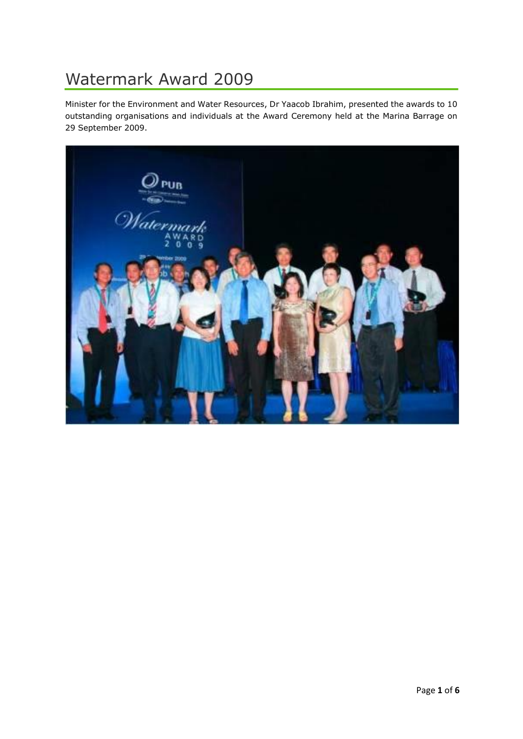# Watermark Award 2009

Minister for the Environment and Water Resources, Dr Yaacob Ibrahim, presented the awards to 10 outstanding organisations and individuals at the Award Ceremony held at the Marina Barrage on 29 September 2009.

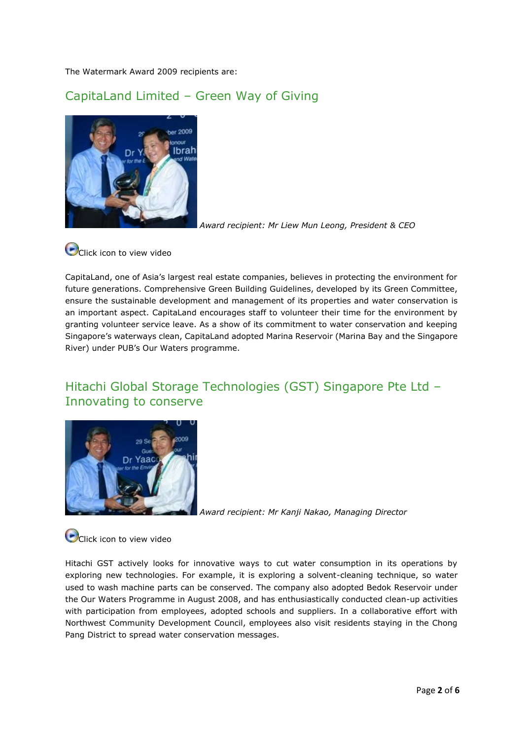The Watermark Award 2009 recipients are:

### CapitaLand Limited – Green Way of Giving



*Award recipient: Mr Liew Mun Leong, President & CEO*



CapitaLand, one of Asia's largest real estate companies, believes in protecting the environment for future generations. Comprehensive Green Building Guidelines, developed by its Green Committee, ensure the sustainable development and management of its properties and water conservation is an important aspect. CapitaLand encourages staff to volunteer their time for the environment by granting volunteer service leave. As a show of its commitment to water conservation and keeping Singapore's waterways clean, CapitaLand adopted Marina Reservoir (Marina Bay and the Singapore River) under PUB's Our Waters programme.

#### Hitachi Global Storage Technologies (GST) Singapore Pte Ltd – Innovating to conserve



*Award recipient: Mr Kanji Nakao, Managing Director*

**O**Click icon to view video

Hitachi GST actively looks for innovative ways to cut water consumption in its operations by exploring new technologies. For example, it is exploring a solvent-cleaning technique, so water used to wash machine parts can be conserved. The company also adopted Bedok Reservoir under the Our Waters Programme in August 2008, and has enthusiastically conducted clean-up activities with participation from employees, adopted schools and suppliers. In a collaborative effort with Northwest Community Development Council, employees also visit residents staying in the Chong Pang District to spread water conservation messages.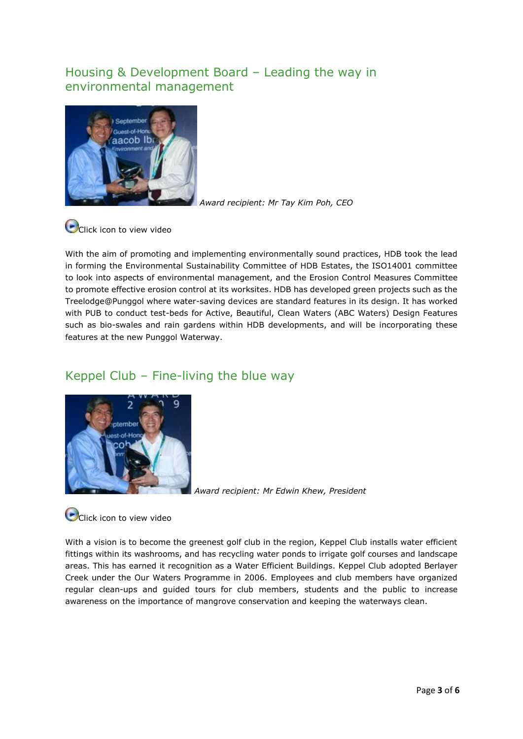#### Housing & Development Board – Leading the way in environmental management



*Award recipient: Mr Tay Kim Poh, CEO*

# **O**Click icon to view video

With the aim of promoting and implementing environmentally sound practices, HDB took the lead in forming the Environmental Sustainability Committee of HDB Estates, the ISO14001 committee to look into aspects of environmental management, and the Erosion Control Measures Committee to promote effective erosion control at its worksites. HDB has developed green projects such as the Treelodge@Punggol where water-saving devices are standard features in its design. It has worked with PUB to conduct test-beds for Active, Beautiful, Clean Waters (ABC Waters) Design Features such as bio-swales and rain gardens within HDB developments, and will be incorporating these features at the new Punggol Waterway.

#### Keppel Club – Fine-living the blue way



*Award recipient: Mr Edwin Khew, President*

**O** Click icon to view video

With a vision is to become the greenest golf club in the region, Keppel Club installs water efficient fittings within its washrooms, and has recycling water ponds to irrigate golf courses and landscape areas. This has earned it recognition as a Water Efficient Buildings. Keppel Club adopted Berlayer Creek under the Our Waters Programme in 2006. Employees and club members have organized regular clean-ups and guided tours for club members, students and the public to increase awareness on the importance of mangrove conservation and keeping the waterways clean.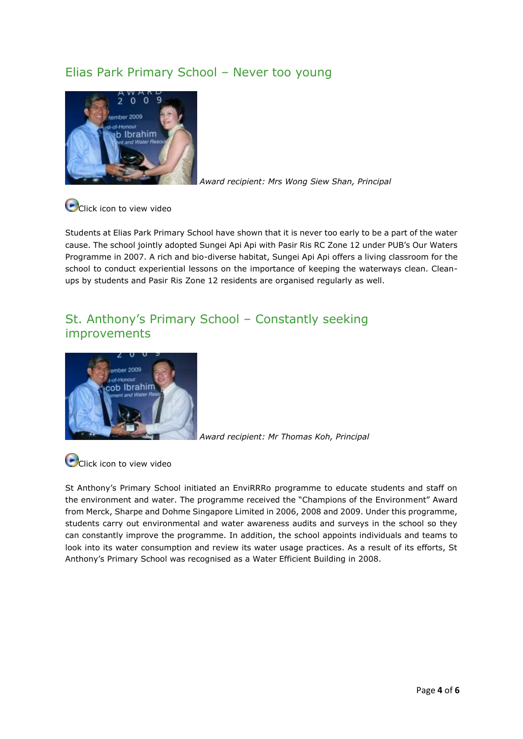#### Elias Park Primary School – Never too young



*Award recipient: Mrs Wong Siew Shan, Principal*

**O**Click icon to view video

Students at Elias Park Primary School have shown that it is never too early to be a part of the water cause. The school jointly adopted Sungei Api Api with Pasir Ris RC Zone 12 under PUB's Our Waters Programme in 2007. A rich and bio-diverse habitat, Sungei Api Api offers a living classroom for the school to conduct experiential lessons on the importance of keeping the waterways clean. Cleanups by students and Pasir Ris Zone 12 residents are organised regularly as well.

#### St. Anthony's Primary School – Constantly seeking improvements



*Award recipient: Mr Thomas Koh, Principal*

**O**Click icon to view video

St Anthony's Primary School initiated an EnviRRRo programme to educate students and staff on the environment and water. The programme received the "Champions of the Environment" Award from Merck, Sharpe and Dohme Singapore Limited in 2006, 2008 and 2009. Under this programme, students carry out environmental and water awareness audits and surveys in the school so they can constantly improve the programme. In addition, the school appoints individuals and teams to look into its water consumption and review its water usage practices. As a result of its efforts, St Anthony's Primary School was recognised as a Water Efficient Building in 2008.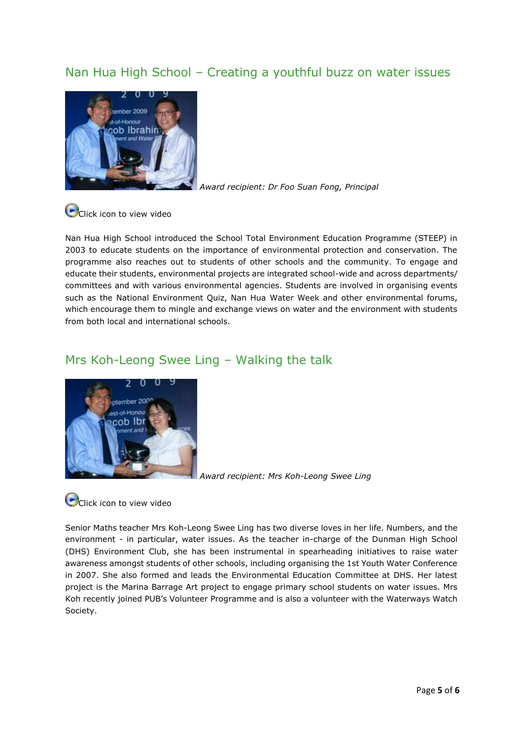#### Nan Hua High School – Creating a youthful buzz on water issues



*Award recipient: Dr Foo Suan Fong, Principal*

## **O**Click icon to view video

Nan Hua High School introduced the School Total Environment Education Programme (STEEP) in 2003 to educate students on the importance of environmental protection and conservation. The programme also reaches out to students of other schools and the community. To engage and educate their students, environmental projects are integrated school-wide and across departments/ committees and with various environmental agencies. Students are involved in organising events such as the National Environment Quiz, Nan Hua Water Week and other environmental forums, which encourage them to mingle and exchange views on water and the environment with students from both local and international schools.

#### Mrs Koh-Leong Swee Ling – Walking the talk



*Award recipient: Mrs Koh-Leong Swee Ling*

### Click icon to view video

Senior Maths teacher Mrs Koh-Leong Swee Ling has two diverse loves in her life. Numbers, and the environment - in particular, water issues. As the teacher in-charge of the Dunman High School (DHS) Environment Club, she has been instrumental in spearheading initiatives to raise water awareness amongst students of other schools, including organising the 1st Youth Water Conference in 2007. She also formed and leads the Environmental Education Committee at DHS. Her latest project is the Marina Barrage Art project to engage primary school students on water issues. Mrs Koh recently joined PUB's Volunteer Programme and is also a volunteer with the Waterways Watch Society.